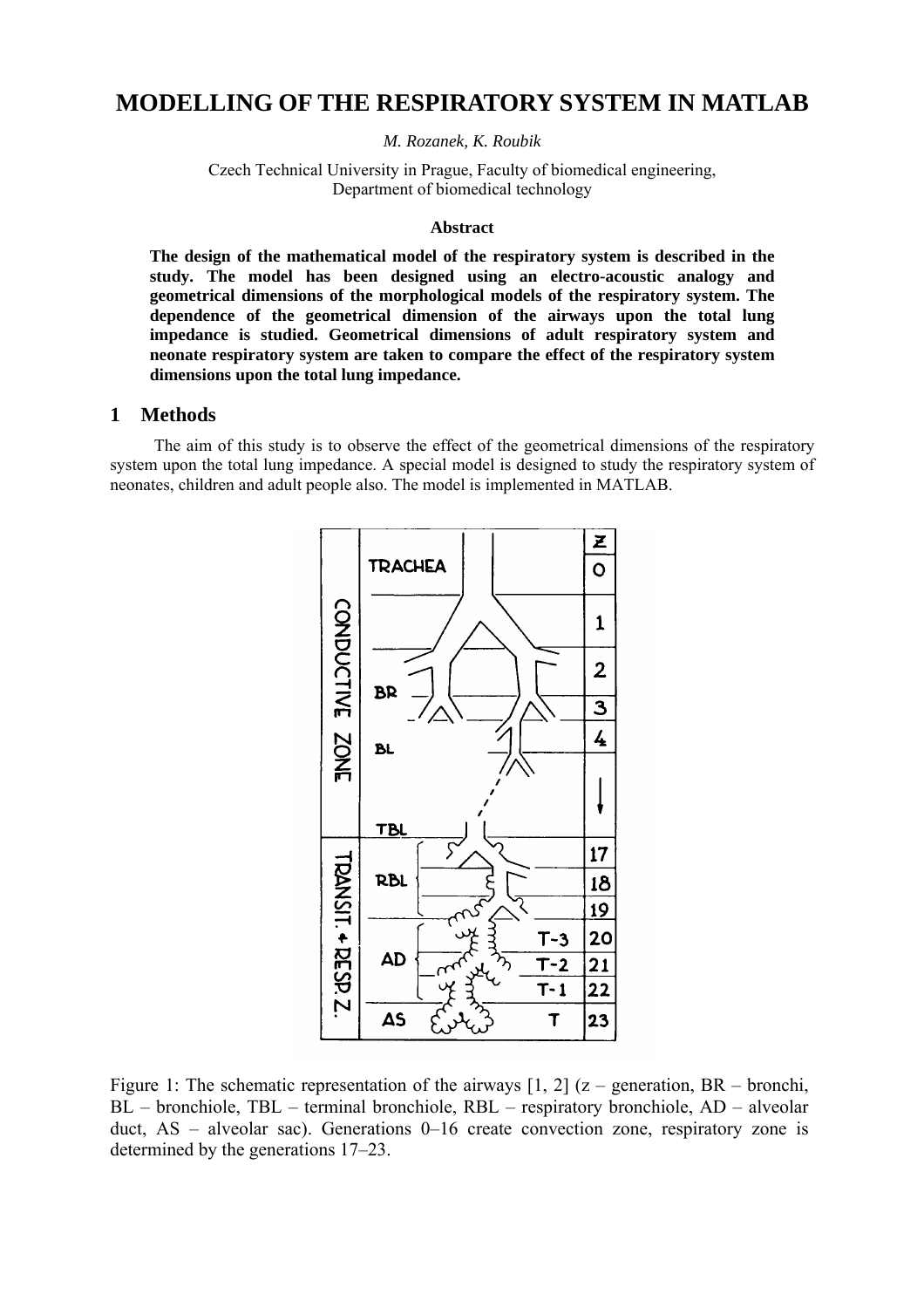# **MODELLING OF THE RESPIRATORY SYSTEM IN MATLAB**

*M. Rozanek, K. Roubik* 

Czech Technical University in Prague, Faculty of biomedical engineering, Department of biomedical technology

#### **Abstract**

**The design of the mathematical model of the respiratory system is described in the study. The model has been designed using an electro-acoustic analogy and geometrical dimensions of the morphological models of the respiratory system. The dependence of the geometrical dimension of the airways upon the total lung impedance is studied. Geometrical dimensions of adult respiratory system and neonate respiratory system are taken to compare the effect of the respiratory system dimensions upon the total lung impedance.** 

#### **1 Methods**

The aim of this study is to observe the effect of the geometrical dimensions of the respiratory system upon the total lung impedance. A special model is designed to study the respiratory system of neonates, children and adult people also. The model is implemented in MATLAB.



Figure 1: The schematic representation of the airways  $[1, 2]$  (z – generation, BR – bronchi, BL – bronchiole, TBL – terminal bronchiole, RBL – respiratory bronchiole, AD – alveolar duct, AS – alveolar sac). Generations 0–16 create convection zone, respiratory zone is determined by the generations 17–23.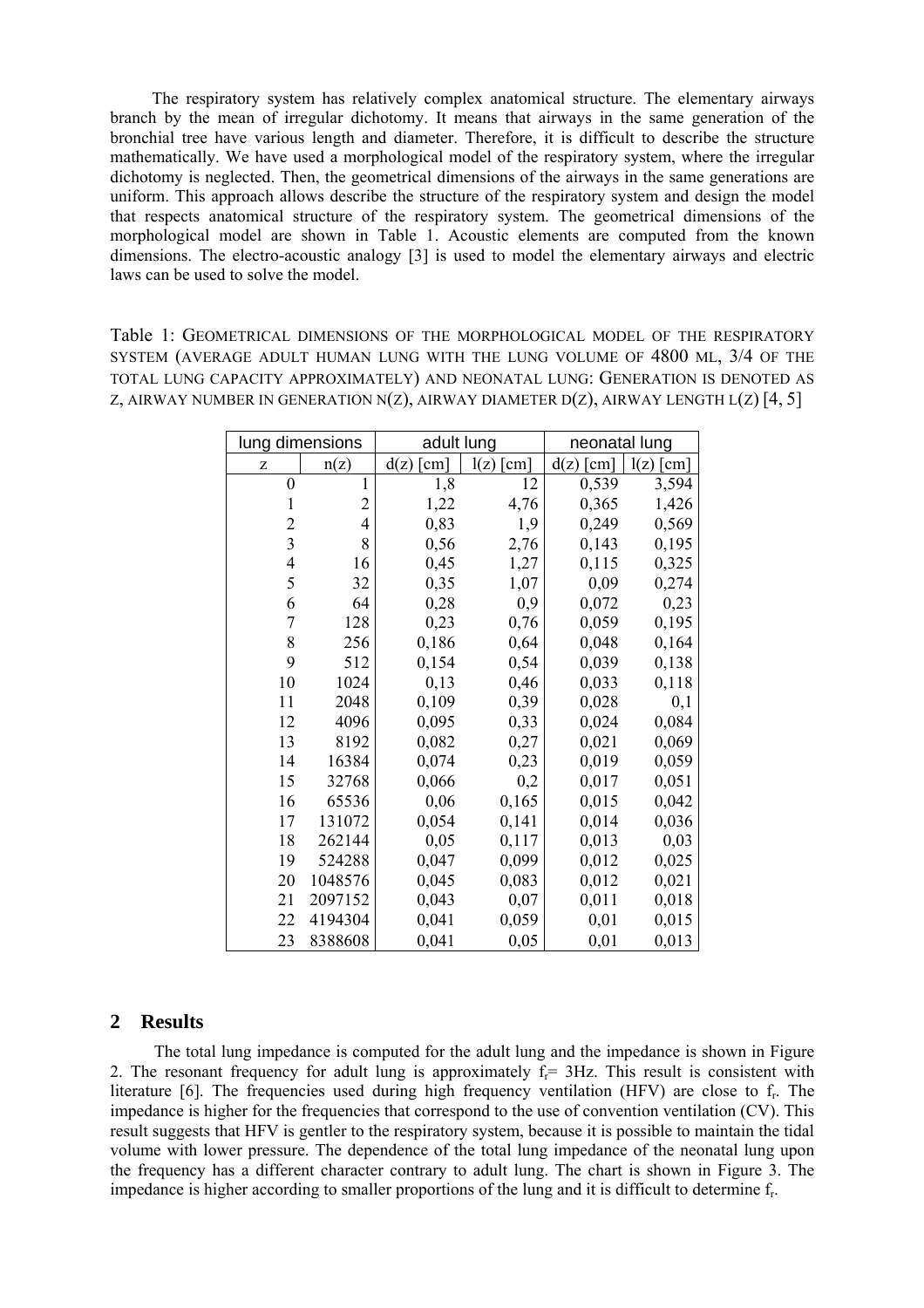The respiratory system has relatively complex anatomical structure. The elementary airways branch by the mean of irregular dichotomy. It means that airways in the same generation of the bronchial tree have various length and diameter. Therefore, it is difficult to describe the structure mathematically. We have used a morphological model of the respiratory system, where the irregular dichotomy is neglected. Then, the geometrical dimensions of the airways in the same generations are uniform. This approach allows describe the structure of the respiratory system and design the model that respects anatomical structure of the respiratory system. The geometrical dimensions of the morphological model are shown in Table 1. Acoustic elements are computed from the known dimensions. The electro-acoustic analogy [3] is used to model the elementary airways and electric laws can be used to solve the model.

Table 1: GEOMETRICAL DIMENSIONS OF THE MORPHOLOGICAL MODEL OF THE RESPIRATORY SYSTEM (AVERAGE ADULT HUMAN LUNG WITH THE LUNG VOLUME OF 4800 ML, 3/4 OF THE TOTAL LUNG CAPACITY APPROXIMATELY) AND NEONATAL LUNG: GENERATION IS DENOTED AS Z, AIRWAY NUMBER IN GENERATION N(Z), AIRWAY DIAMETER D(Z), AIRWAY LENGTH  $L(Z)$  [4, 5]

| lung dimensions          |                | adult lung                   |                              | neonatal lung                |                              |
|--------------------------|----------------|------------------------------|------------------------------|------------------------------|------------------------------|
| Z                        | n(z)           | $\lceil$ cm $\rceil$<br>d(z) | l(z)<br>$\lceil$ cm $\rceil$ | $\lceil$ cm $\rceil$<br>d(z) | l(z)<br>$\lceil$ cm $\rceil$ |
| $\boldsymbol{0}$         | $\mathbf{1}$   | 1,8                          | 12                           | 0,539                        | 3,594                        |
| $\mathbf{1}$             | $\overline{c}$ | 1,22                         | 4,76                         | 0,365                        | 1,426                        |
| $\overline{c}$           | $\overline{4}$ | 0,83                         | 1,9                          | 0,249                        | 0,569                        |
| $\overline{3}$           | 8              | 0,56                         | 2,76                         | 0,143                        | 0,195                        |
| $\overline{\mathcal{L}}$ | 16             | 0,45                         | 1,27                         | 0,115                        | 0,325                        |
| 5                        | 32             | 0,35                         | 1,07                         | 0,09                         | 0,274                        |
| 6                        | 64             | 0,28                         | 0,9                          | 0,072                        | 0,23                         |
| $\overline{7}$           | 128            | 0,23                         | 0,76                         | 0,059                        | 0,195                        |
| 8                        | 256            | 0,186                        | 0,64                         | 0,048                        | 0,164                        |
| 9                        | 512            | 0,154                        | 0,54                         | 0,039                        | 0,138                        |
| 10                       | 1024           | 0,13                         | 0,46                         | 0,033                        | 0,118                        |
| 11                       | 2048           | 0,109                        | 0,39                         | 0,028                        | 0,1                          |
| 12                       | 4096           | 0,095                        | 0,33                         | 0,024                        | 0,084                        |
| 13                       | 8192           | 0,082                        | 0,27                         | 0,021                        | 0,069                        |
| 14                       | 16384          | 0,074                        | 0,23                         | 0,019                        | 0,059                        |
| 15                       | 32768          | 0,066                        | 0,2                          | 0,017                        | 0,051                        |
| 16                       | 65536          | 0,06                         | 0,165                        | 0,015                        | 0,042                        |
| 17                       | 131072         | 0,054                        | 0,141                        | 0,014                        | 0,036                        |
| 18                       | 262144         | 0,05                         | 0,117                        | 0,013                        | 0,03                         |
| 19                       | 524288         | 0,047                        | 0,099                        | 0,012                        | 0,025                        |
| 20                       | 1048576        | 0,045                        | 0,083                        | 0,012                        | 0,021                        |
| 21                       | 2097152        | 0,043                        | 0,07                         | 0,011                        | 0,018                        |
| 22                       | 4194304        | 0,041                        | 0,059                        | 0,01                         | 0,015                        |
| 23                       | 8388608        | 0,041                        | 0,05                         | 0,01                         | 0,013                        |

## **2 Results**

The total lung impedance is computed for the adult lung and the impedance is shown in Figure 2. The resonant frequency for adult lung is approximately  $f_r = 3Hz$ . This result is consistent with literature [6]. The frequencies used during high frequency ventilation (HFV) are close to f<sub>r</sub>. The impedance is higher for the frequencies that correspond to the use of convention ventilation (CV). This result suggests that HFV is gentler to the respiratory system, because it is possible to maintain the tidal volume with lower pressure. The dependence of the total lung impedance of the neonatal lung upon the frequency has a different character contrary to adult lung. The chart is shown in Figure 3. The impedance is higher according to smaller proportions of the lung and it is difficult to determine fr.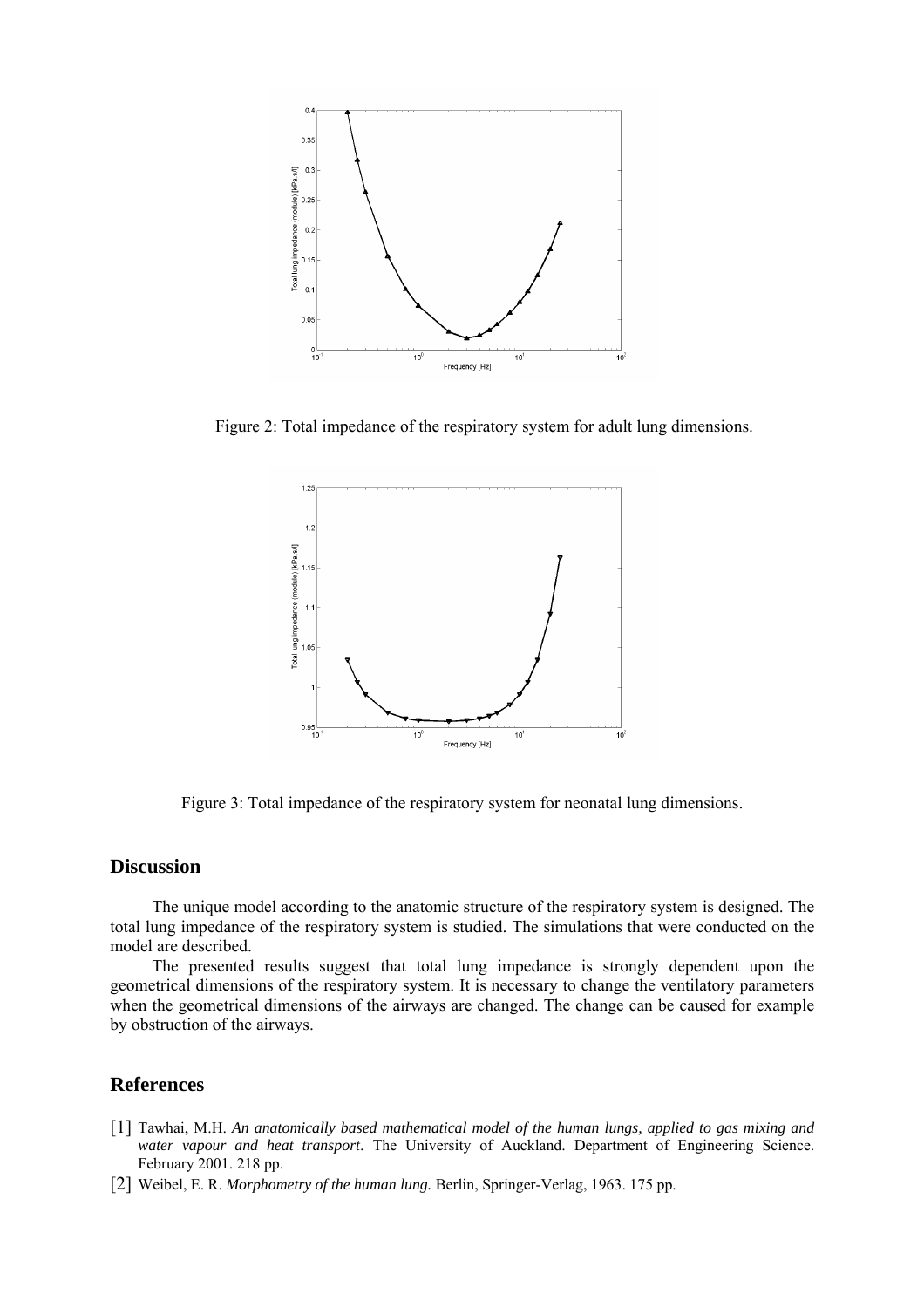

Figure 2: Total impedance of the respiratory system for adult lung dimensions.



Figure 3: Total impedance of the respiratory system for neonatal lung dimensions.

## **Discussion**

The unique model according to the anatomic structure of the respiratory system is designed. The total lung impedance of the respiratory system is studied. The simulations that were conducted on the model are described.

The presented results suggest that total lung impedance is strongly dependent upon the geometrical dimensions of the respiratory system. It is necessary to change the ventilatory parameters when the geometrical dimensions of the airways are changed. The change can be caused for example by obstruction of the airways.

## **References**

- [1] Tawhai, M.H. *An anatomically based mathematical model of the human lungs, applied to gas mixing and water vapour and heat transport*. The University of Auckland. Department of Engineering Science. February 2001. 218 pp.
- [2] Weibel, E. R. *Morphometry of the human lung.* Berlin, Springer-Verlag, 1963. 175 pp.